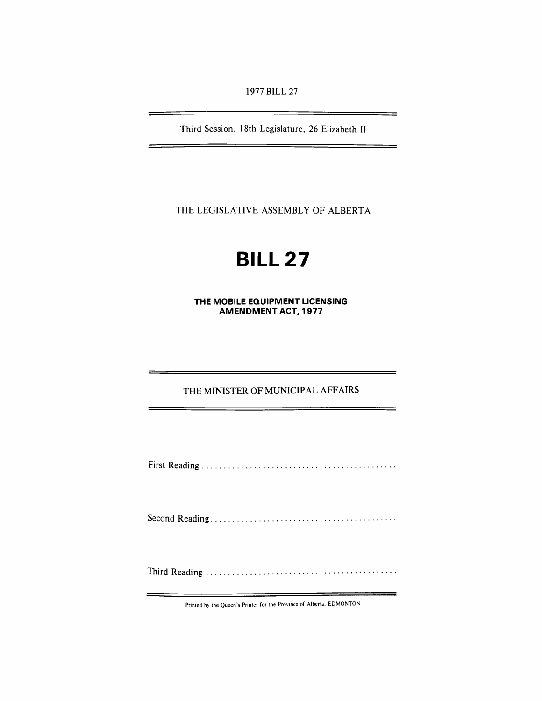1977 BILL 27

Third Session, 18th Legislature, 26 Elizabeth II

THE LEGISLATIVE ASSEMBLY OF ALBERTA

# **BILL 27**

**THE MOBILE EQUIPMENT LICENSING AMENDMENT ACT, 1977** 

# THE MINISTER OF MUNICIPAL AFFAIRS

First Reading ............................................ .

Second Reading .......................................... .

Third Reading ........................................... .

Printed by the Queen's Printer for the Province of Alberta, EDMONTON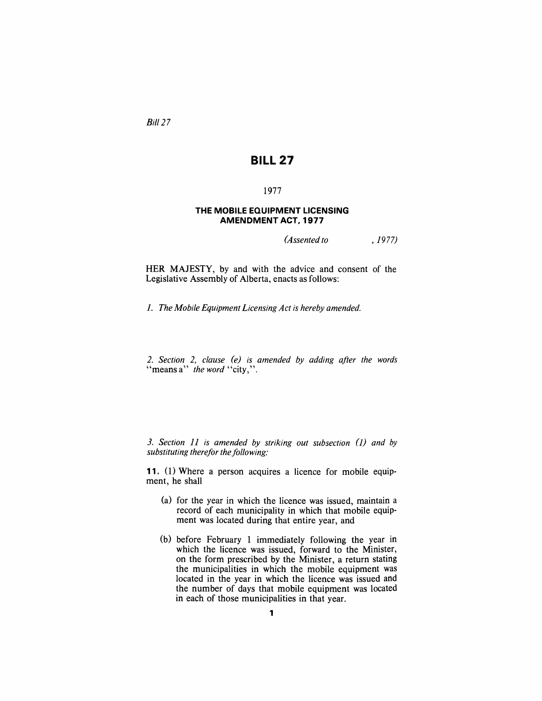Bill 27

## **BILL 27**

## 1977

#### **THE MOBILE EQUIPMENT LICENSING AMENDMENT ACT, 1977**

*(Assented to* , 1977)

HER MAJESTY, by and with the advice and consent of the Legislative Assembly of Alberta, enacts as follows:

1. *The Mobile Equipment Licensing Act is hereby amended.* 

*2. Section* 2, *clause (e) is amended by adding after the words*  "means a" *the word* "city,".

*3. Section 11 is amended by striking out subsection (1) and by* substituting therefor the following:

**11.** (1) Where a person acquires a licence for mobile equipment, he shall

- (a) for the year in which the licence was issued, maintain a record of each municipality in which that mobile equipment was located during that entire year, and
- (b) before February 1 immediately following the year in which the licence was issued, forward to the Minister, on the form prescribed by the Minister, a return stating the municipalities in which the mobile equipment was located in the year in which the licence was issued and the number of days that mobile equipment was located in each of those municipalities in that year.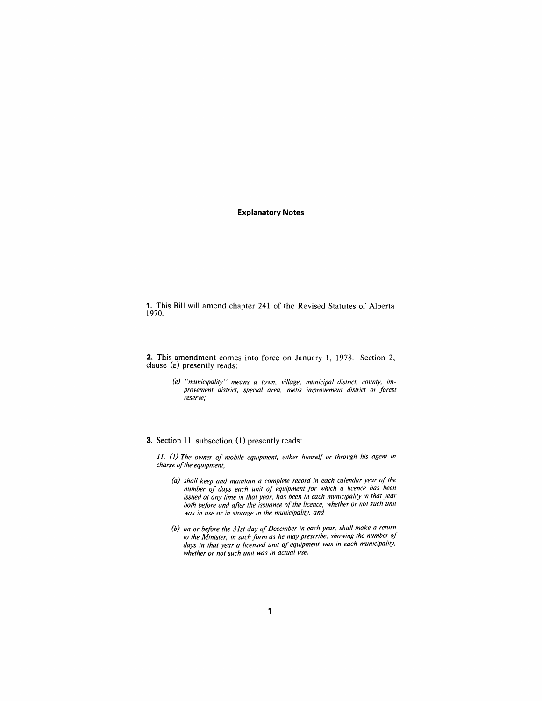#### **Explanatory Notes**

**1.** This **Bill** will amend chapter 241 of the Revised Statutes of Alberta 1970.

**2.** This amendment comes into force on January 1, 1978. Section 2, clause (e) presently reads:

> *(e) "municipality" means a town, village, municipal district, county, improvement district, special area, metis improvement district or forest reserve;*

#### **3.** Section **11,** subsection (I) presently reads:

11. (1) The owner of mobile equipment, either himself or through his agent in *charge of the equipment,* 

- *(a) shall keep and maintain a complete record in each calendar year of the number of days each unit of equipment for which a licence has been issued at any time in that year, has been in each municipality in that year*  both before and after the issuance of the licence, whether or not such unit *was in use or in storage in the municipality, and*
- *(b) on or before the 31st day of December in each year, shall make a return to the Minister, in such form as he may prescribe, showing the number of days in that year a licensed unit of equipment was in each municipality, whether or not such unit was in actual use.*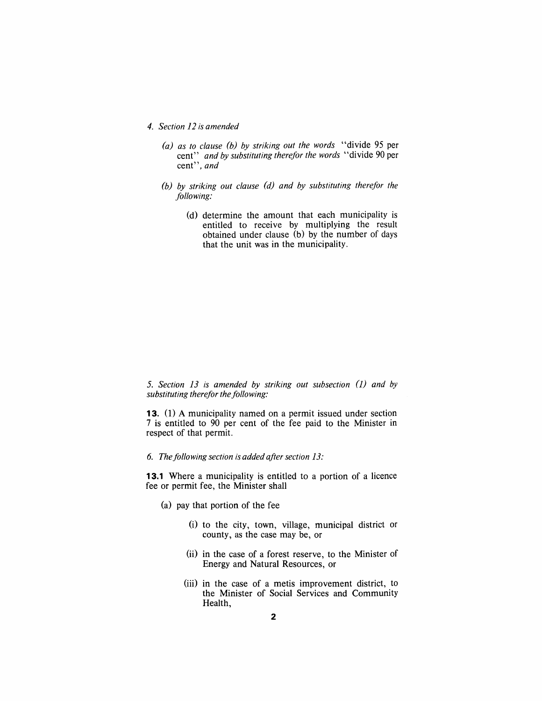*4. Section* 12 *is amended* 

- *(a) as to clause (b) by striking out the words* "divide 95 per cent" *and by substituting therefor the words* "divide 90 per cent", *and*
- *(b) by striking out clause (d) and by substituting therefor the following:* 
	- (d) determine the amount that each municipality is entitled to receive by multiplying the result obtained under clause (b) by the number of days that the unit was in the municipality.

*5. Section* 13 *is amended by striking out subsection* (]) *and by*  substituting therefor the following:

**13.** (1) A municipality named on a permit issued under section 7 is entitled to 90 per cent of the fee paid to the Minister in respect of that permit.

### 6. The following section is added after section 13:

**13.1** Where a municipality is entitled to a portion of a licence fee or permit fee, the Minister shall

- (a) pay that portion of the fee
	- (i) to the city, town, village, municipal district or county, as the case may be, or
	- (ii) in the case of a forest reserve, to the Minister of Energy and Natural Resources, or
	- (iii) in the case of a metis improvement district, to the Minister of Social Services and Community Health,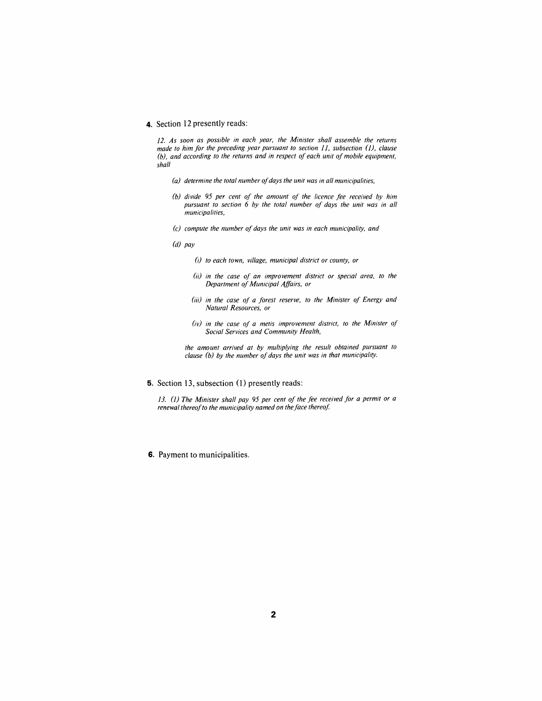#### **4.** Section 12 presently reads:

12. As soon as possible in each year, the Minister shall assemble the returns *made to him for the preceding year pursuant to section 11, subsection (1), clause (b), and according to the returns and in respect of each unit of mobile equipment, shall* 

- *(a) determine the total number of days the unit was in all municipalities,*
- *(b) divide* 95 *per cent of the amount of the licence fee received by him pursuant to section* 6 *by the total number of days the unit was in all municipalities,*
- *(c) compute the number of days the unit was in each municipality, and*
- *(d) pay* 
	- (;) *to each town, village, municipal district or county, or*
	- *(ii) in the case of an improvement district or special area, to the Department of Municipal Affairs, or*
	- *(iii) in the case of a forest reserve, to the Minister of Energy and Natural Resources, or*
	- *(iv) in the case of a metis improvement district, to the Minister of Social Services and Community Health,*

*the amount arrived at by multiplying the result obtained pursuant to clause (b) by the number of days the unit was in that municipality.* 

**5.** Section 13, subsection (1) presently reads:

13. (1) *The Minister shall pay* 95 *per cent of the fee received for a permit or a renewal thereof to the municipality named on the face thereof.* 

**6.** Payment to municipalities.